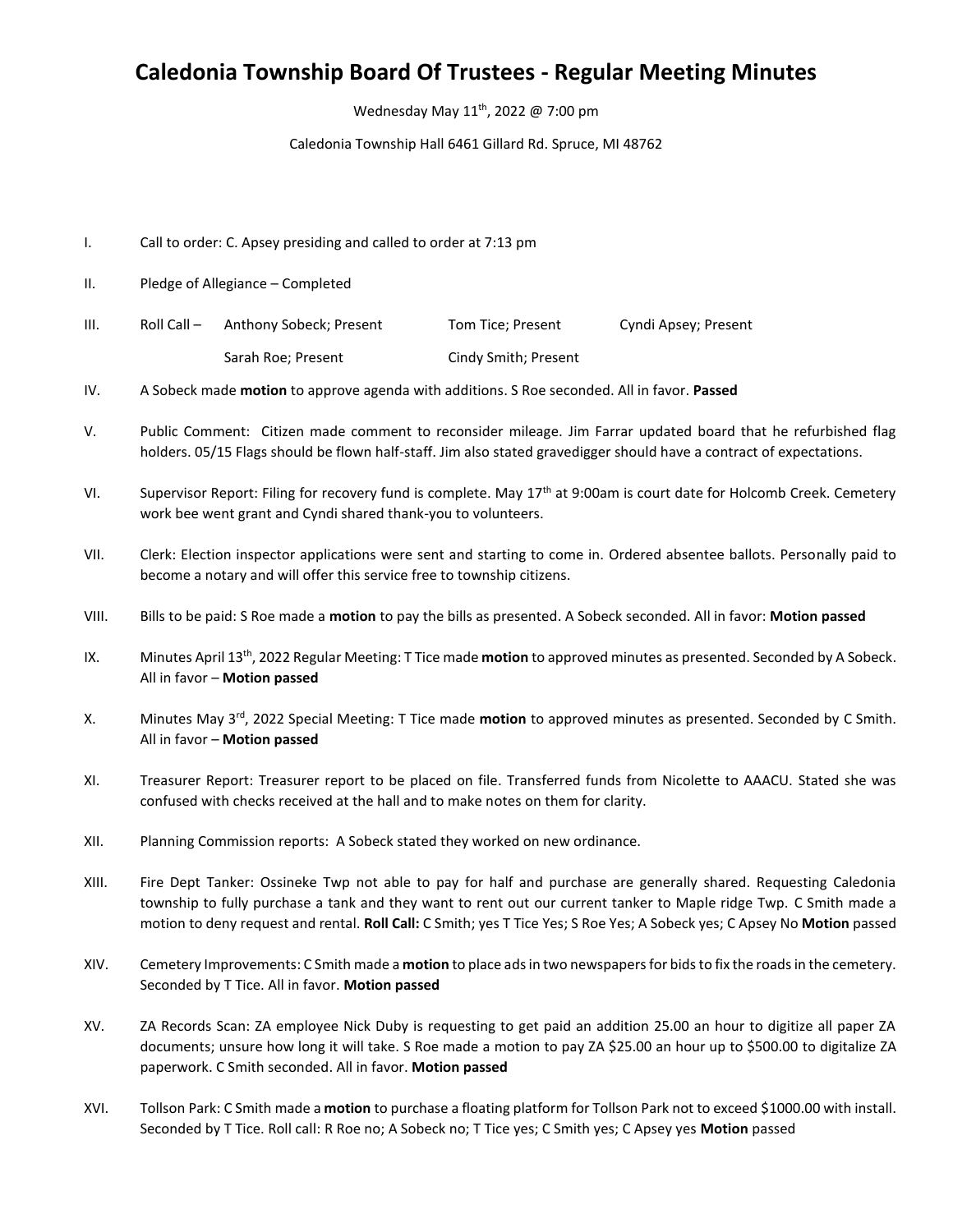## **Caledonia Township Board Of Trustees - Regular Meeting Minutes**

Wednesday May 11<sup>th</sup>, 2022 @ 7:00 pm

Caledonia Township Hall 6461 Gillard Rd. Spruce, MI 48762

- I. Call to order: C. Apsey presiding and called to order at 7:13 pm
- II. Pledge of Allegiance Completed

| III. | Roll Call $-$ | Anthony Sobeck; Present | Tom Tice; Present    | Cyndi Apsey; Present |
|------|---------------|-------------------------|----------------------|----------------------|
|      |               | Sarah Roe; Present      | Cindy Smith; Present |                      |

IV. A Sobeck made **motion** to approve agenda with additions. S Roe seconded. All in favor. **Passed**

- V. Public Comment: Citizen made comment to reconsider mileage. Jim Farrar updated board that he refurbished flag holders. 05/15 Flags should be flown half-staff. Jim also stated gravedigger should have a contract of expectations.
- VI. Supervisor Report: Filing for recovery fund is complete. May 17<sup>th</sup> at 9:00am is court date for Holcomb Creek. Cemetery work bee went grant and Cyndi shared thank-you to volunteers.
- VII. Clerk: Election inspector applications were sent and starting to come in. Ordered absentee ballots. Personally paid to become a notary and will offer this service free to township citizens.
- VIII. Bills to be paid: S Roe made a **motion** to pay the bills as presented. A Sobeck seconded. All in favor: **Motion passed**
- IX. Minutes April 13<sup>th</sup>, 2022 Regular Meeting: T Tice made **motion** to approved minutes as presented. Seconded by A Sobeck. All in favor – **Motion passed**
- X. Minutes May 3rd , 2022 Special Meeting: T Tice made **motion** to approved minutes as presented. Seconded by C Smith. All in favor – **Motion passed**
- XI. Treasurer Report: Treasurer report to be placed on file. Transferred funds from Nicolette to AAACU. Stated she was confused with checks received at the hall and to make notes on them for clarity.
- XII. Planning Commission reports: A Sobeck stated they worked on new ordinance.
- XIII. Fire Dept Tanker: Ossineke Twp not able to pay for half and purchase are generally shared. Requesting Caledonia township to fully purchase a tank and they want to rent out our current tanker to Maple ridge Twp. C Smith made a motion to deny request and rental. **Roll Call:** C Smith; yes T Tice Yes; S Roe Yes; A Sobeck yes; C Apsey No **Motion** passed
- XIV. Cemetery Improvements: C Smith made a **motion** to place ads in two newspapersfor bids to fix the roads in the cemetery. Seconded by T Tice. All in favor. **Motion passed**
- XV. ZA Records Scan: ZA employee Nick Duby is requesting to get paid an addition 25.00 an hour to digitize all paper ZA documents; unsure how long it will take. S Roe made a motion to pay ZA \$25.00 an hour up to \$500.00 to digitalize ZA paperwork. C Smith seconded. All in favor. **Motion passed**
- XVI. Tollson Park: C Smith made a **motion** to purchase a floating platform for Tollson Park not to exceed \$1000.00 with install. Seconded by T Tice. Roll call: R Roe no; A Sobeck no; T Tice yes; C Smith yes; C Apsey yes **Motion** passed